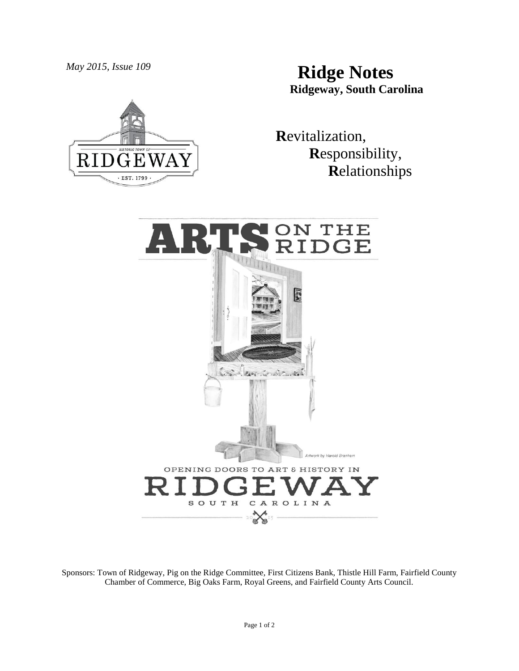*May 2015, Issue 109* **Ridge Notes Ridgeway, South Carolina**



 **R**evitalization,  **R**esponsibility,  **R**elationships



Sponsors: Town of Ridgeway, Pig on the Ridge Committee, First Citizens Bank, Thistle Hill Farm, Fairfield County Chamber of Commerce, Big Oaks Farm, Royal Greens, and Fairfield County Arts Council.